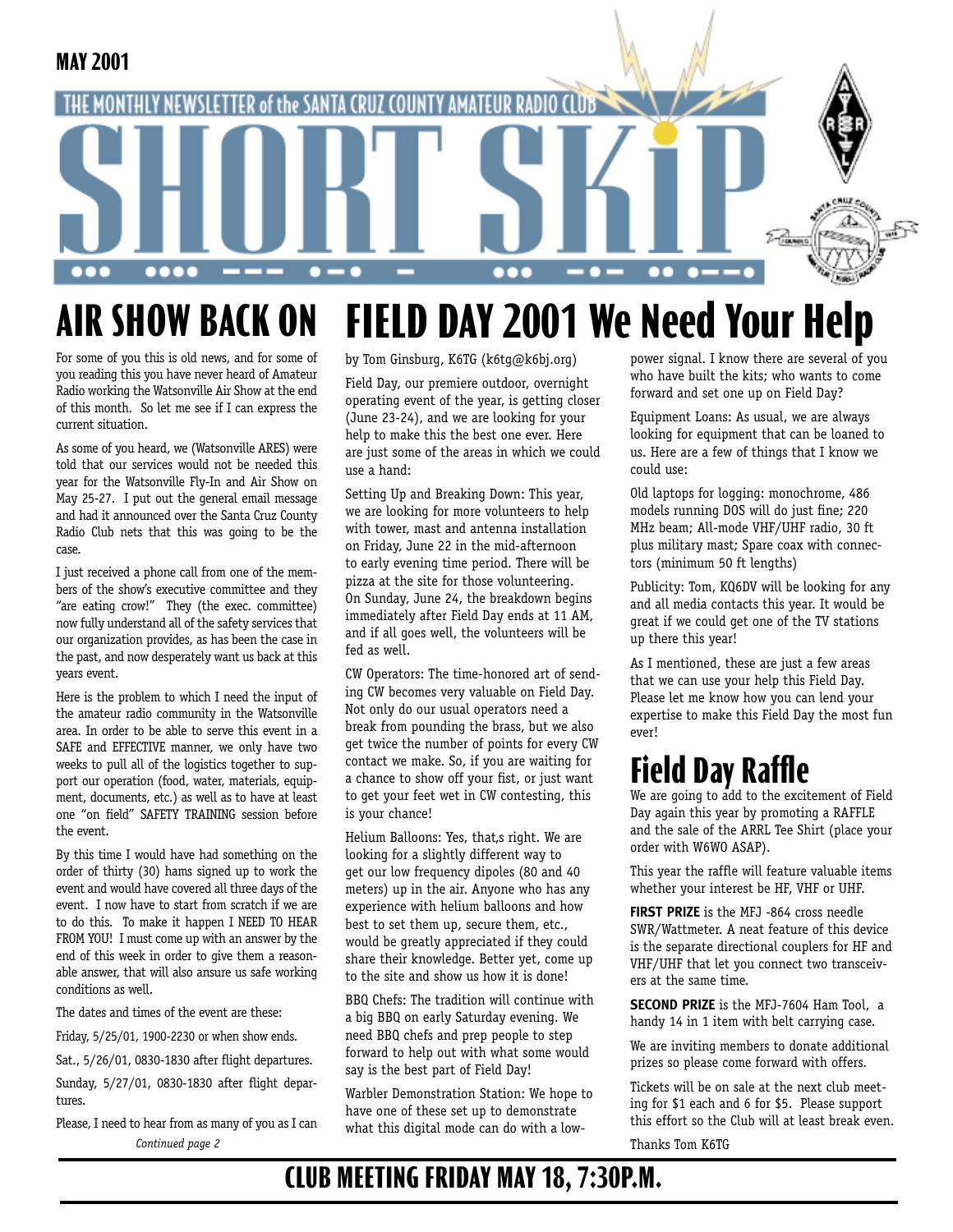

## **AIR SHOW BACK ON FIELD DAY 2001 We Need Your Help**

For some of you this is old news, and for some of you reading this you have never heard of Amateur Radio working the Watsonville Air Show at the end of this month. So let me see if I can express the current situation.

As some of you heard, we (Watsonville ARES) were told that our services would not be needed this year for the Watsonville Fly-In and Air Show on May 25-27. I put out the general email message and had it announced over the Santa Cruz County Radio Club nets that this was going to be the case.

I just received a phone call from one of the members of the show's executive committee and they "are eating crow!" They (the exec. committee) now fully understand all of the safety services that our organization provides, as has been the case in the past, and now desperately want us back at this years event.

Here is the problem to which I need the input of the amateur radio community in the Watsonville area. In order to be able to serve this event in a SAFE and EFFECTIVE manner, we only have two weeks to pull all of the logistics together to support our operation (food, water, materials, equipment, documents, etc.) as well as to have at least one "on field" SAFETY TRAINING session before the event.

By this time I would have had something on the order of thirty (30) hams signed up to work the event and would have covered all three days of the event. I now have to start from scratch if we are to do this. To make it happen I NEED TO HEAR FROM YOU! I must come up with an answer by the end of this week in order to give them a reasonable answer, that will also ansure us safe working conditions as well.

The dates and times of the event are these:

Friday, 5/25/01, 1900-2230 or when show ends.

Sat., 5/26/01, 0830-1830 after flight departures.

Sunday, 5/27/01, 0830-1830 after flight departures.

Please, I need to hear from as many of you as I can *Continued page 2*

by Tom Ginsburg, K6TG (k6tg@k6bj.org)

Field Day, our premiere outdoor, overnight operating event of the year, is getting closer (June 23-24), and we are looking for your help to make this the best one ever. Here are just some of the areas in which we could use a hand:

Setting Up and Breaking Down: This year, we are looking for more volunteers to help with tower, mast and antenna installation on Friday, June 22 in the mid-afternoon to early evening time period. There will be pizza at the site for those volunteering. On Sunday, June 24, the breakdown begins immediately after Field Day ends at 11 AM, and if all goes well, the volunteers will be fed as well.

CW Operators: The time-honored art of sending CW becomes very valuable on Field Day. Not only do our usual operators need a break from pounding the brass, but we also get twice the number of points for every CW contact we make. So, if you are waiting for a chance to show off your fist, or just want to get your feet wet in CW contesting, this is your chance!

Helium Balloons: Yes, that,s right. We are looking for a slightly different way to get our low frequency dipoles (80 and 40 meters) up in the air. Anyone who has any experience with helium balloons and how best to set them up, secure them, etc., would be greatly appreciated if they could share their knowledge. Better yet, come up to the site and show us how it is done!

BBQ Chefs: The tradition will continue with a big BBQ on early Saturday evening. We need BBQ chefs and prep people to step forward to help out with what some would say is the best part of Field Day!

Warbler Demonstration Station: We hope to have one of these set up to demonstrate what this digital mode can do with a lowpower signal. I know there are several of you who have built the kits; who wants to come forward and set one up on Field Day?

Equipment Loans: As usual, we are always looking for equipment that can be loaned to us. Here are a few of things that I know we could use:

Old laptops for logging: monochrome, 486 models running DOS will do just fine; 220 MHz beam; All-mode VHF/UHF radio, 30 ft plus military mast; Spare coax with connectors (minimum 50 ft lengths)

Publicity: Tom, KQ6DV will be looking for any and all media contacts this year. It would be great if we could get one of the TV stations up there this year!

As I mentioned, these are just a few areas that we can use your help this Field Day. Please let me know how you can lend your expertise to make this Field Day the most fun ever!

# **Field Day Raffle**

We are going to add to the excitement of Field Day again this year by promoting a RAFFLE and the sale of the ARRL Tee Shirt (place your order with W6WO ASAP).

This year the raffle will feature valuable items whether your interest be HF, VHF or UHF.

**FIRST PRIZE** is the MFJ -864 cross needle SWR/Wattmeter. A neat feature of this device is the separate directional couplers for HF and VHF/UHF that let you connect two transceivers at the same time.

**SECOND PRIZE** is the MFJ-7604 Ham Tool, a handy 14 in 1 item with belt carrying case.

We are inviting members to donate additional prizes so please come forward with offers.

Tickets will be on sale at the next club meeting for \$1 each and 6 for \$5. Please support this effort so the Club will at least break even.

Thanks Tom K6TG

## **CLUB MEETING FRIDAY MAY 18, 7:30P.M.**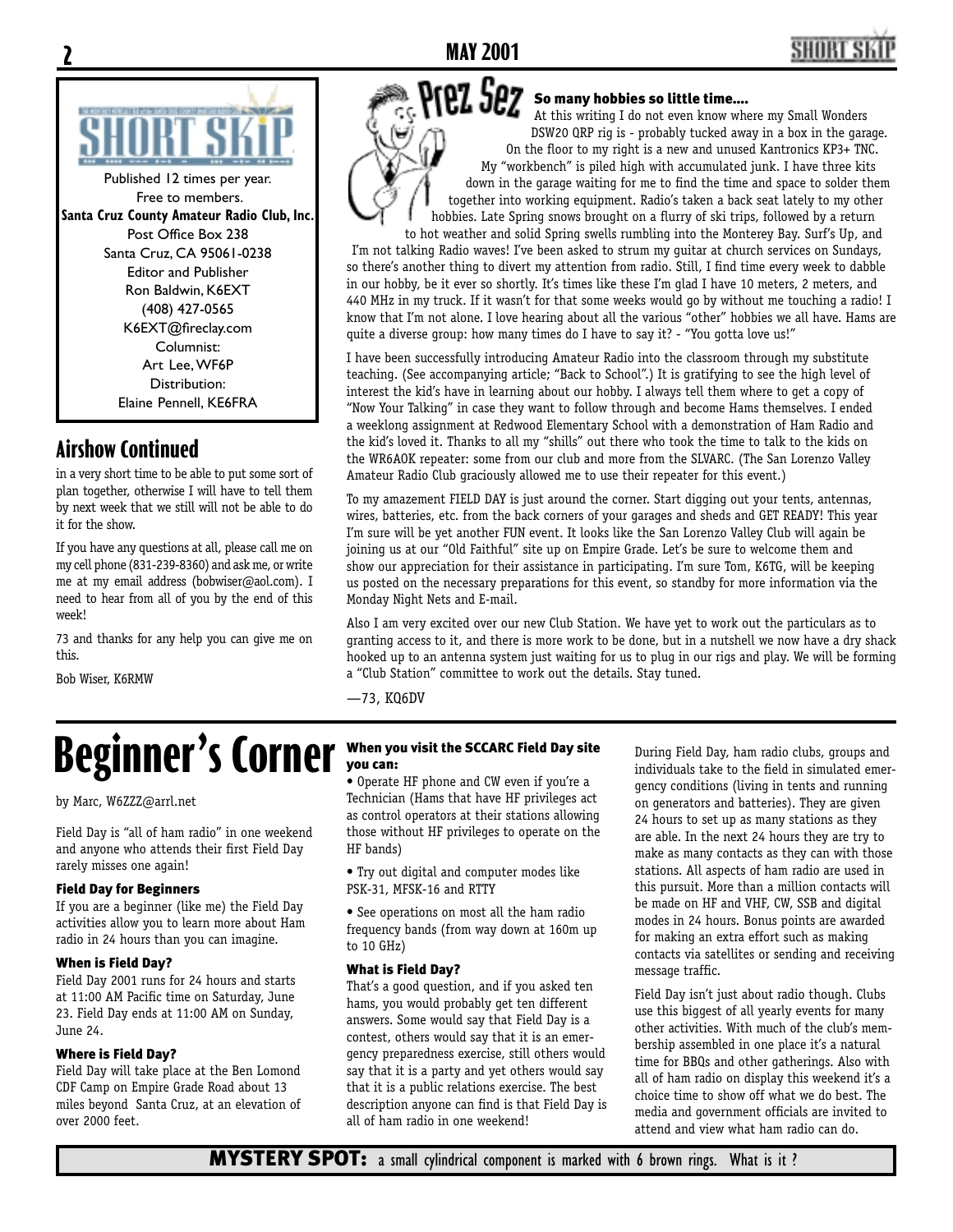

<u>2</u>

Published 12 times per year. Free to members. **Santa Cruz County Amateur Radio Club, Inc.** Post Office Box 238 Santa Cruz, CA 95061-0238 Editor and Publisher Ron Baldwin, K6EXT (408) 427-0565 K6EXT@fireclay.com Columnist: Art Lee, WF6P Distribution: Elaine Pennell, KE6FRA

## **Airshow Continued**

in a very short time to be able to put some sort of plan together, otherwise I will have to tell them by next week that we still will not be able to do it for the show.

If you have any questions at all, please call me on my cell phone (831-239-8360) and ask me, or write me at my email address (bobwiser@aol.com). I need to hear from all of you by the end of this week!

73 and thanks for any help you can give me on this.

Bob Wiser, K6RMW

### Prez Sez So many hobbies so little time....

At this writing I do not even know where my Small Wonders DSW20 QRP rig is - probably tucked away in a box in the garage. On the floor to my right is a new and unused Kantronics KP3+ TNC. My "workbench" is piled high with accumulated junk. I have three kits down in the garage waiting for me to find the time and space to solder them together into working equipment. Radio's taken a back seat lately to my other hobbies. Late Spring snows brought on a flurry of ski trips, followed by a return to hot weather and solid Spring swells rumbling into the Monterey Bay. Surf's Up, and

I'm not talking Radio waves! I've been asked to strum my guitar at church services on Sundays, so there's another thing to divert my attention from radio. Still, I find time every week to dabble in our hobby, be it ever so shortly. It's times like these I'm glad I have 10 meters, 2 meters, and 440 MHz in my truck. If it wasn't for that some weeks would go by without me touching a radio! I know that I'm not alone. I love hearing about all the various "other" hobbies we all have. Hams are quite a diverse group: how many times do I have to say it? - "You gotta love us!"

I have been successfully introducing Amateur Radio into the classroom through my substitute teaching. (See accompanying article; "Back to School".) It is gratifying to see the high level of interest the kid's have in learning about our hobby. I always tell them where to get a copy of "Now Your Talking" in case they want to follow through and become Hams themselves. I ended a weeklong assignment at Redwood Elementary School with a demonstration of Ham Radio and the kid's loved it. Thanks to all my "shills" out there who took the time to talk to the kids on the WR6AOK repeater: some from our club and more from the SLVARC. (The San Lorenzo Valley Amateur Radio Club graciously allowed me to use their repeater for this event.)

To my amazement FIELD DAY is just around the corner. Start digging out your tents, antennas, wires, batteries, etc. from the back corners of your garages and sheds and GET READY! This year I'm sure will be yet another FUN event. It looks like the San Lorenzo Valley Club will again be joining us at our "Old Faithful" site up on Empire Grade. Let's be sure to welcome them and show our appreciation for their assistance in participating. I'm sure Tom, K6TG, will be keeping us posted on the necessary preparations for this event, so standby for more information via the Monday Night Nets and E-mail.

Also I am very excited over our new Club Station. We have yet to work out the particulars as to granting access to it, and there is more work to be done, but in a nutshell we now have a dry shack hooked up to an antenna system just waiting for us to plug in our rigs and play. We will be forming a "Club Station" committee to work out the details. Stay tuned.

—73, KQ6DV

# **Beginner's Corner When you visit the SCCARC Field Day site**

by Marc, W6ZZZ@arrl.net

Field Day is "all of ham radio" in one weekend and anyone who attends their first Field Day rarely misses one again!

### Field Day for Beginners

If you are a beginner (like me) the Field Day activities allow you to learn more about Ham radio in 24 hours than you can imagine.

### When is Field Day?

Field Day 2001 runs for 24 hours and starts at 11:00 AM Pacific time on Saturday, June 23. Field Day ends at 11:00 AM on Sunday, June 24.

### Where is Field Day?

Field Day will take place at the Ben Lomond CDF Camp on Empire Grade Road about 13 miles beyond Santa Cruz, at an elevation of over 2000 feet.

• Operate HF phone and CW even if you're a Technician (Hams that have HF privileges act as control operators at their stations allowing those without HF privileges to operate on the HF bands)

• Try out digital and computer modes like PSK-31, MFSK-16 and RTTY

• See operations on most all the ham radio frequency bands (from way down at 160m up to 10 GHz)

### What is Field Day?

That's a good question, and if you asked ten hams, you would probably get ten different answers. Some would say that Field Day is a contest, others would say that it is an emergency preparedness exercise, still others would say that it is a party and yet others would say that it is a public relations exercise. The best description anyone can find is that Field Day is all of ham radio in one weekend!

During Field Day, ham radio clubs, groups and individuals take to the field in simulated emergency conditions (living in tents and running on generators and batteries). They are given 24 hours to set up as many stations as they are able. In the next 24 hours they are try to make as many contacts as they can with those stations. All aspects of ham radio are used in this pursuit. More than a million contacts will be made on HF and VHF, CW, SSB and digital modes in 24 hours. Bonus points are awarded for making an extra effort such as making contacts via satellites or sending and receiving message traffic.

Field Day isn't just about radio though. Clubs use this biggest of all yearly events for many other activities. With much of the club's membership assembled in one place it's a natural time for BBQs and other gatherings. Also with all of ham radio on display this weekend it's a choice time to show off what we do best. The media and government officials are invited to attend and view what ham radio can do.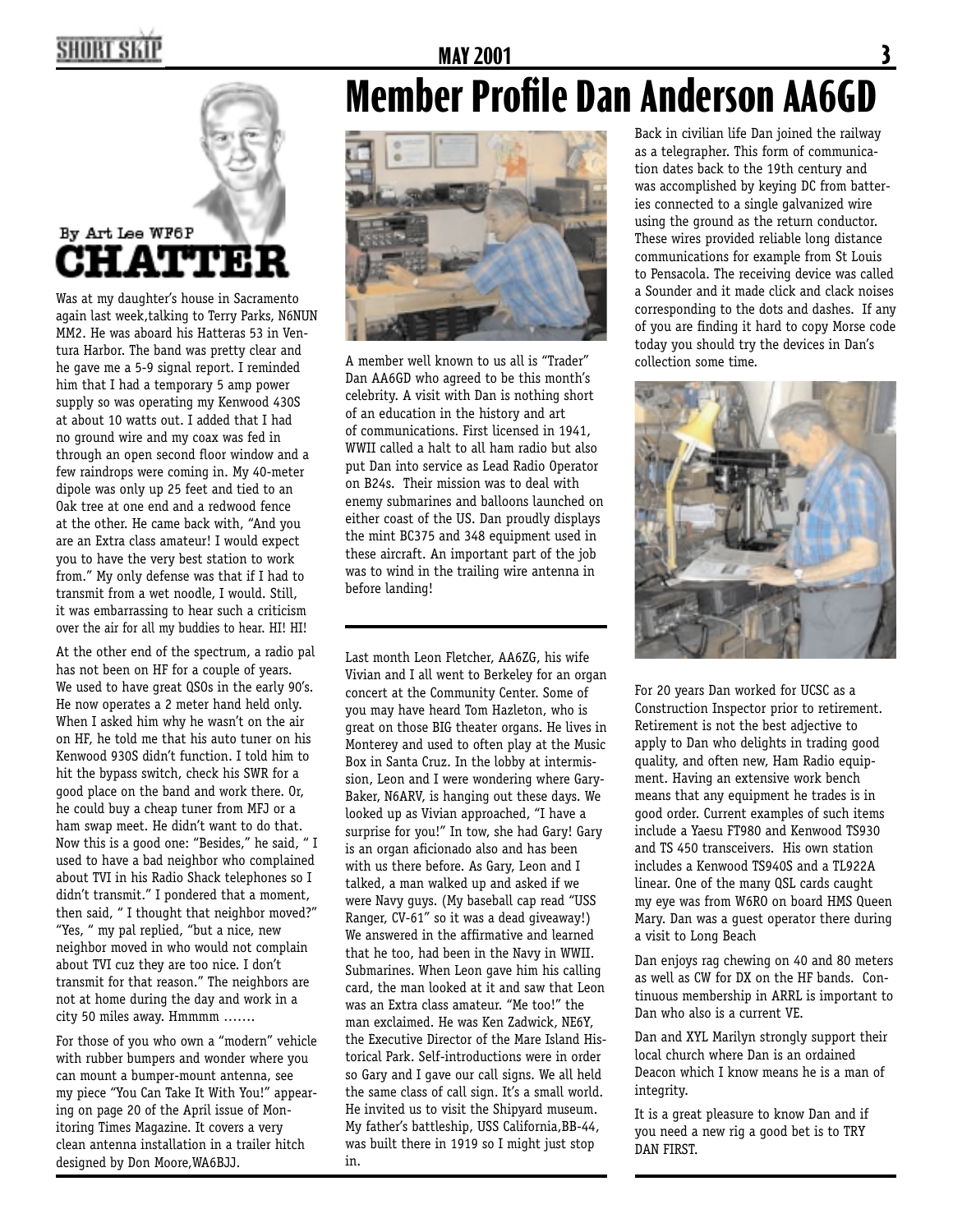# HORT SKI

# **MAY 2001 Member Profile Dan Anderson AA6GD**



## By Art Lee WF6P **CHATTER**

Was at my daughter's house in Sacramento again last week,talking to Terry Parks, N6NUN MM2. He was aboard his Hatteras 53 in Ventura Harbor. The band was pretty clear and he gave me a 5-9 signal report. I reminded him that I had a temporary 5 amp power supply so was operating my Kenwood 430S at about 10 watts out. I added that I had no ground wire and my coax was fed in through an open second floor window and a few raindrops were coming in. My 40-meter dipole was only up 25 feet and tied to an Oak tree at one end and a redwood fence at the other. He came back with, "And you are an Extra class amateur! I would expect you to have the very best station to work from." My only defense was that if I had to transmit from a wet noodle, I would. Still, it was embarrassing to hear such a criticism over the air for all my buddies to hear. HI! HI!

At the other end of the spectrum, a radio pal has not been on HF for a couple of years. We used to have great QSOs in the early 90's. He now operates a 2 meter hand held only. When I asked him why he wasn't on the air on HF, he told me that his auto tuner on his Kenwood 930S didn't function. I told him to hit the bypass switch, check his SWR for a good place on the band and work there. Or, he could buy a cheap tuner from MFJ or a ham swap meet. He didn't want to do that. Now this is a good one: "Besides," he said, " I used to have a bad neighbor who complained about TVI in his Radio Shack telephones so I didn't transmit." I pondered that a moment, then said, " I thought that neighbor moved?" "Yes, " my pal replied, "but a nice, new neighbor moved in who would not complain about TVI cuz they are too nice. I don't transmit for that reason." The neighbors are not at home during the day and work in a city 50 miles away. Hmmmm …….

For those of you who own a "modern" vehicle with rubber bumpers and wonder where you can mount a bumper-mount antenna, see my piece "You Can Take It With You!" appearing on page 20 of the April issue of Monitoring Times Magazine. It covers a very clean antenna installation in a trailer hitch designed by Don Moore,WA6BJJ.



A member well known to us all is "Trader" Dan AA6GD who agreed to be this month's celebrity. A visit with Dan is nothing short of an education in the history and art of communications. First licensed in 1941, WWII called a halt to all ham radio but also put Dan into service as Lead Radio Operator on B24s. Their mission was to deal with enemy submarines and balloons launched on either coast of the US. Dan proudly displays the mint BC375 and 348 equipment used in these aircraft. An important part of the job was to wind in the trailing wire antenna in before landing!

Last month Leon Fletcher, AA6ZG, his wife Vivian and I all went to Berkeley for an organ concert at the Community Center. Some of you may have heard Tom Hazleton, who is great on those BIG theater organs. He lives in Monterey and used to often play at the Music Box in Santa Cruz. In the lobby at intermission, Leon and I were wondering where Gary-Baker, N6ARV, is hanging out these days. We looked up as Vivian approached, "I have a surprise for you!" In tow, she had Gary! Gary is an organ aficionado also and has been with us there before. As Gary, Leon and I talked, a man walked up and asked if we were Navy guys. (My baseball cap read "USS Ranger, CV-61" so it was a dead giveaway!) We answered in the affirmative and learned that he too, had been in the Navy in WWII. Submarines. When Leon gave him his calling card, the man looked at it and saw that Leon was an Extra class amateur. "Me too!" the man exclaimed. He was Ken Zadwick, NE6Y, the Executive Director of the Mare Island Historical Park. Self-introductions were in order so Gary and I gave our call signs. We all held the same class of call sign. It's a small world. He invited us to visit the Shipyard museum. My father's battleship, USS California,BB-44, was built there in 1919 so I might just stop in.

Back in civilian life Dan joined the railway as a telegrapher. This form of communication dates back to the 19th century and was accomplished by keying DC from batteries connected to a single galvanized wire using the ground as the return conductor. These wires provided reliable long distance communications for example from St Louis to Pensacola. The receiving device was called a Sounder and it made click and clack noises corresponding to the dots and dashes. If any of you are finding it hard to copy Morse code today you should try the devices in Dan's collection some time.

<u>}</u>



For 20 years Dan worked for UCSC as a Construction Inspector prior to retirement. Retirement is not the best adjective to apply to Dan who delights in trading good quality, and often new, Ham Radio equipment. Having an extensive work bench means that any equipment he trades is in good order. Current examples of such items include a Yaesu FT980 and Kenwood TS930 and TS 450 transceivers. His own station includes a Kenwood TS940S and a TL922A linear. One of the many QSL cards caught my eye was from W6RO on board HMS Queen Mary. Dan was a guest operator there during a visit to Long Beach

Dan enjoys rag chewing on 40 and 80 meters as well as CW for DX on the HF bands. Continuous membership in ARRL is important to Dan who also is a current VE.

Dan and XYL Marilyn strongly support their local church where Dan is an ordained Deacon which I know means he is a man of integrity.

It is a great pleasure to know Dan and if you need a new rig a good bet is to TRY DAN FIRST.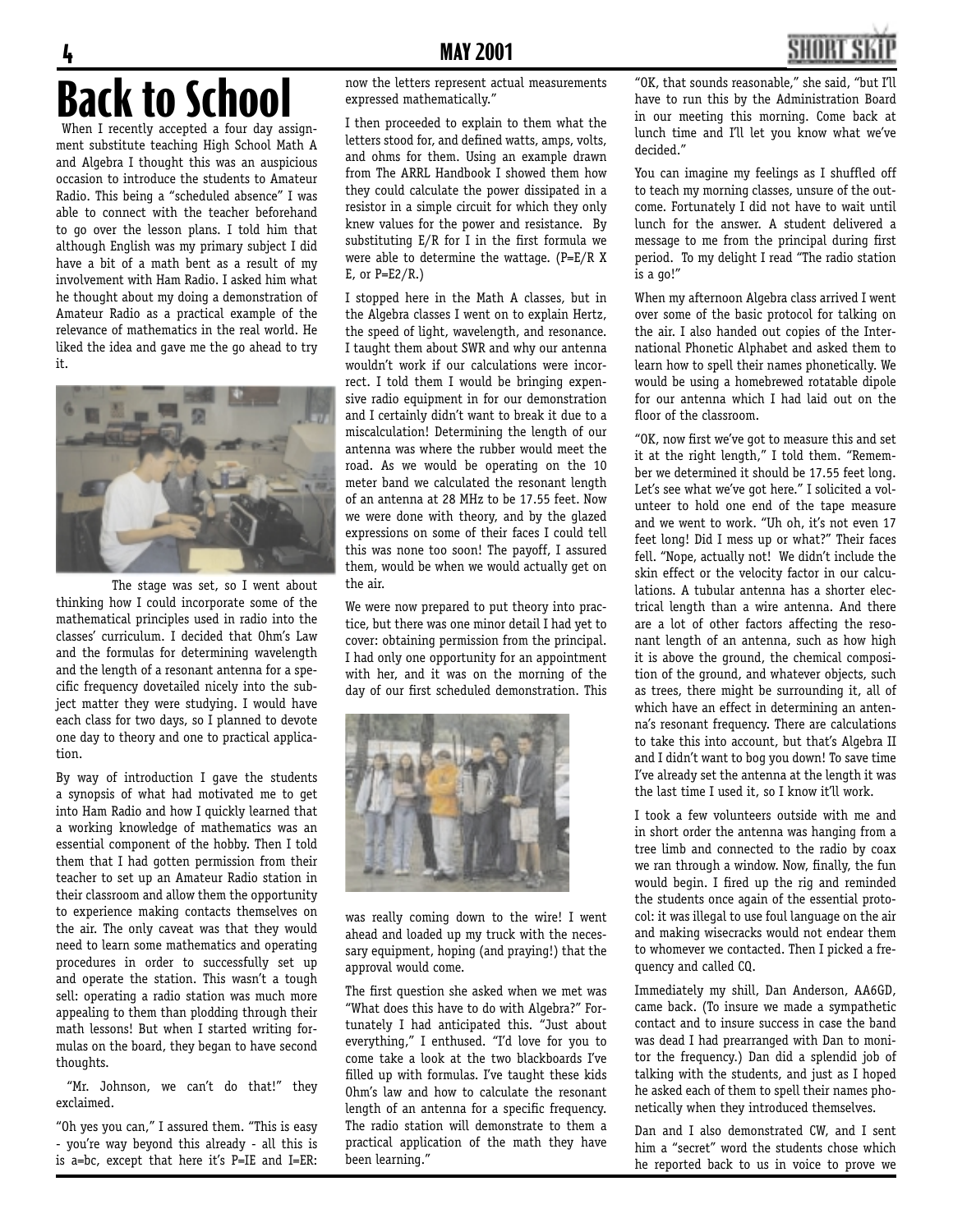

# 4 **MAY 2001 Back to School**

When I recently accepted a four day assignment substitute teaching High School Math A and Algebra I thought this was an auspicious occasion to introduce the students to Amateur Radio. This being a "scheduled absence" I was able to connect with the teacher beforehand to go over the lesson plans. I told him that although English was my primary subject I did have a bit of a math bent as a result of my involvement with Ham Radio. I asked him what he thought about my doing a demonstration of Amateur Radio as a practical example of the relevance of mathematics in the real world. He liked the idea and gave me the go ahead to try it.



 The stage was set, so I went about thinking how I could incorporate some of the mathematical principles used in radio into the classes' curriculum. I decided that Ohm's Law and the formulas for determining wavelength and the length of a resonant antenna for a specific frequency dovetailed nicely into the subject matter they were studying. I would have each class for two days, so I planned to devote one day to theory and one to practical application.

By way of introduction I gave the students a synopsis of what had motivated me to get into Ham Radio and how I quickly learned that a working knowledge of mathematics was an essential component of the hobby. Then I told them that I had gotten permission from their teacher to set up an Amateur Radio station in their classroom and allow them the opportunity to experience making contacts themselves on the air. The only caveat was that they would need to learn some mathematics and operating procedures in order to successfully set up and operate the station. This wasn't a tough sell: operating a radio station was much more appealing to them than plodding through their math lessons! But when I started writing formulas on the board, they began to have second thoughts.

"Mr. Johnson, we can't do that!" they exclaimed.

"Oh yes you can," I assured them. "This is easy - you're way beyond this already - all this is is a=bc, except that here it's P=IE and I=ER:

now the letters represent actual measurements expressed mathematically."

I then proceeded to explain to them what the letters stood for, and defined watts, amps, volts, and ohms for them. Using an example drawn from The ARRL Handbook I showed them how they could calculate the power dissipated in a resistor in a simple circuit for which they only knew values for the power and resistance. By substituting  $E/R$  for I in the first formula we were able to determine the wattage. (P=E/R X  $E$ , or  $P=E2/R.$ )

I stopped here in the Math A classes, but in the Algebra classes I went on to explain Hertz, the speed of light, wavelength, and resonance. I taught them about SWR and why our antenna wouldn't work if our calculations were incorrect. I told them I would be bringing expensive radio equipment in for our demonstration and I certainly didn't want to break it due to a miscalculation! Determining the length of our antenna was where the rubber would meet the road. As we would be operating on the 10 meter band we calculated the resonant length of an antenna at 28 MHz to be 17.55 feet. Now we were done with theory, and by the glazed expressions on some of their faces I could tell this was none too soon! The payoff, I assured them, would be when we would actually get on the air.

We were now prepared to put theory into practice, but there was one minor detail I had yet to cover: obtaining permission from the principal. I had only one opportunity for an appointment with her, and it was on the morning of the day of our first scheduled demonstration. This



was really coming down to the wire! I went ahead and loaded up my truck with the necessary equipment, hoping (and praying!) that the approval would come.

The first question she asked when we met was "What does this have to do with Algebra?" Fortunately I had anticipated this. "Just about everything," I enthused. "I'd love for you to come take a look at the two blackboards I've filled up with formulas. I've taught these kids Ohm's law and how to calculate the resonant length of an antenna for a specific frequency. The radio station will demonstrate to them a practical application of the math they have been learning."

"OK, that sounds reasonable," she said, "but I'll have to run this by the Administration Board in our meeting this morning. Come back at lunch time and I'll let you know what we've decided."

You can imagine my feelings as I shuffled off to teach my morning classes, unsure of the outcome. Fortunately I did not have to wait until lunch for the answer. A student delivered a message to me from the principal during first period. To my delight I read "The radio station is a go!"

When my afternoon Algebra class arrived I went over some of the basic protocol for talking on the air. I also handed out copies of the International Phonetic Alphabet and asked them to learn how to spell their names phonetically. We would be using a homebrewed rotatable dipole for our antenna which I had laid out on the floor of the classroom.

"OK, now first we've got to measure this and set it at the right length," I told them. "Remember we determined it should be 17.55 feet long. Let's see what we've got here." I solicited a volunteer to hold one end of the tape measure and we went to work. "Uh oh, it's not even 17 feet long! Did I mess up or what?" Their faces fell. "Nope, actually not! We didn't include the skin effect or the velocity factor in our calculations. A tubular antenna has a shorter electrical length than a wire antenna. And there are a lot of other factors affecting the resonant length of an antenna, such as how high it is above the ground, the chemical composition of the ground, and whatever objects, such as trees, there might be surrounding it, all of which have an effect in determining an antenna's resonant frequency. There are calculations to take this into account, but that's Algebra II and I didn't want to bog you down! To save time I've already set the antenna at the length it was the last time I used it, so I know it'll work.

I took a few volunteers outside with me and in short order the antenna was hanging from a tree limb and connected to the radio by coax we ran through a window. Now, finally, the fun would begin. I fired up the rig and reminded the students once again of the essential protocol: it was illegal to use foul language on the air and making wisecracks would not endear them to whomever we contacted. Then I picked a frequency and called CQ.

Immediately my shill, Dan Anderson, AA6GD, came back. (To insure we made a sympathetic contact and to insure success in case the band was dead I had prearranged with Dan to monitor the frequency.) Dan did a splendid job of talking with the students, and just as I hoped he asked each of them to spell their names phonetically when they introduced themselves.

Dan and I also demonstrated CW, and I sent him a "secret" word the students chose which he reported back to us in voice to prove we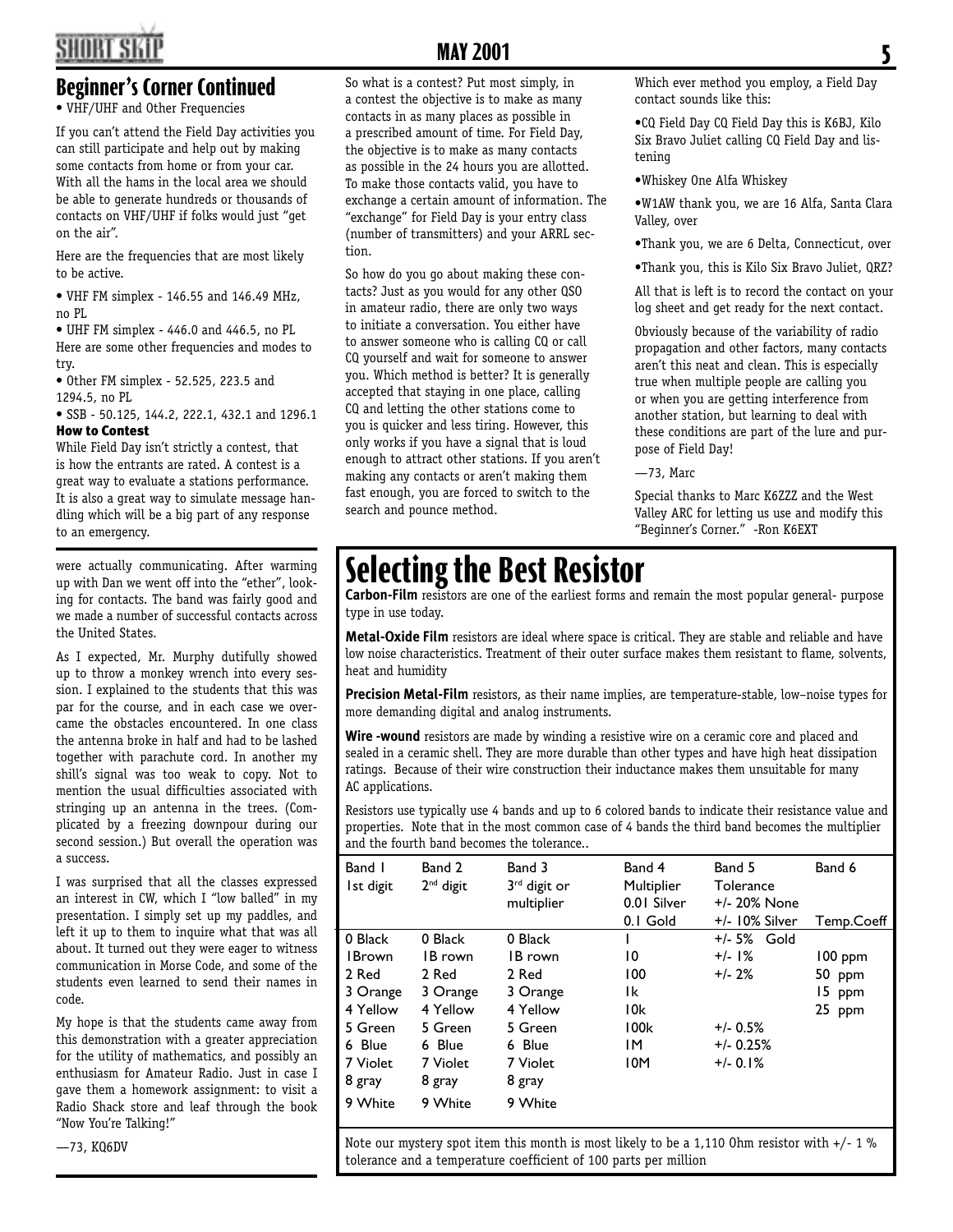### **Beginner's Corner Continued**

• VHF/UHF and Other Frequencies

If you can't attend the Field Day activities you can still participate and help out by making some contacts from home or from your car. With all the hams in the local area we should be able to generate hundreds or thousands of contacts on VHF/UHF if folks would just "get on the air".

Here are the frequencies that are most likely to be active.

• VHF FM simplex - 146.55 and 146.49 MHz, no PL

• UHF FM simplex - 446.0 and 446.5, no PL Here are some other frequencies and modes to try.

• Other FM simplex - 52.525, 223.5 and 1294.5, no PL

• SSB - 50.125, 144.2, 222.1, 432.1 and 1296.1 How to Contest

While Field Day isn't strictly a contest, that is how the entrants are rated. A contest is a great way to evaluate a stations performance. It is also a great way to simulate message handling which will be a big part of any response to an emergency.

were actually communicating. After warming up with Dan we went off into the "ether", looking for contacts. The band was fairly good and we made a number of successful contacts across the United States.

As I expected, Mr. Murphy dutifully showed up to throw a monkey wrench into every session. I explained to the students that this was par for the course, and in each case we overcame the obstacles encountered. In one class the antenna broke in half and had to be lashed together with parachute cord. In another my shill's signal was too weak to copy. Not to mention the usual difficulties associated with stringing up an antenna in the trees. (Complicated by a freezing downpour during our second session.) But overall the operation was a success.

I was surprised that all the classes expressed an interest in CW, which I "low balled" in my presentation. I simply set up my paddles, and left it up to them to inquire what that was all about. It turned out they were eager to witness communication in Morse Code, and some of the students even learned to send their names in code.

My hope is that the students came away from this demonstration with a greater appreciation for the utility of mathematics, and possibly an enthusiasm for Amateur Radio. Just in case I gave them a homework assignment: to visit a Radio Shack store and leaf through the book "Now You're Talking!"

—73, KQ6DV

## **MAY 2001** 5

So what is a contest? Put most simply, in a contest the objective is to make as many contacts in as many places as possible in a prescribed amount of time. For Field Day, the objective is to make as many contacts as possible in the 24 hours you are allotted. To make those contacts valid, you have to exchange a certain amount of information. The "exchange" for Field Day is your entry class (number of transmitters) and your ARRL section.

So how do you go about making these contacts? Just as you would for any other QSO in amateur radio, there are only two ways to initiate a conversation. You either have to answer someone who is calling CQ or call CQ yourself and wait for someone to answer you. Which method is better? It is generally accepted that staying in one place, calling CQ and letting the other stations come to you is quicker and less tiring. However, this only works if you have a signal that is loud enough to attract other stations. If you aren't making any contacts or aren't making them fast enough, you are forced to switch to the search and pounce method.

Which ever method you employ, a Field Day contact sounds like this:

•CQ Field Day CQ Field Day this is K6BJ, Kilo Six Bravo Juliet calling CQ Field Day and listening

•Whiskey One Alfa Whiskey

•W1AW thank you, we are 16 Alfa, Santa Clara Valley, over

•Thank you, we are 6 Delta, Connecticut, over

•Thank you, this is Kilo Six Bravo Juliet, QRZ?

All that is left is to record the contact on your log sheet and get ready for the next contact.

Obviously because of the variability of radio propagation and other factors, many contacts aren't this neat and clean. This is especially true when multiple people are calling you or when you are getting interference from another station, but learning to deal with these conditions are part of the lure and purpose of Field Day!

—73, Marc

Special thanks to Marc K6ZZZ and the West Valley ARC for letting us use and modify this "Beginner's Corner." -Ron K6EXT

# **Selecting the Best Resistor**

**Carbon-Film** resistors are one of the earliest forms and remain the most popular general- purpose type in use today.

**Metal-Oxide Film** resistors are ideal where space is critical. They are stable and reliable and have low noise characteristics. Treatment of their outer surface makes them resistant to flame, solvents, heat and humidity

**Precision Metal-Film** resistors, as their name implies, are temperature-stable, low–noise types for more demanding digital and analog instruments.

Wire -wound resistors are made by winding a resistive wire on a ceramic core and placed and sealed in a ceramic shell. They are more durable than other types and have high heat dissipation ratings. Because of their wire construction their inductance makes them unsuitable for many AC applications.

Resistors use typically use 4 bands and up to 6 colored bands to indicate their resistance value and properties. Note that in the most common case of 4 bands the third band becomes the multiplier and the fourth band becomes the tolerance..

| Band I<br>Ist digit | Band 2<br>$2nd$ digit | Band 3<br>$3rd$ digit or<br>multiplier | Band 4<br>Multiplier<br>0.01 Silver<br>0.1 Gold | Band 5<br>Tolerance<br>$+/- 20\%$ None<br>+/- 10% Silver | Band 6<br>Temp.Coeff |
|---------------------|-----------------------|----------------------------------------|-------------------------------------------------|----------------------------------------------------------|----------------------|
| 0 Black             | 0 Black               | 0 Black                                |                                                 | +/- 5% Gold                                              |                      |
| <b>I</b> Brown      | IB rown               | IB rown                                | 10                                              | $+/-$ 1%                                                 | $100$ ppm            |
| 2 Red               | 2 Red                 | 2 Red                                  | 100                                             | $+/- 2%$                                                 | 50 ppm               |
| 3 Orange            | 3 Orange              | 3 Orange                               | Ιk                                              |                                                          | 15 ppm               |
| 4 Yellow            | 4 Yellow              | 4 Yellow                               | 10k                                             |                                                          | 25 ppm               |
| 5 Green             | 5 Green               | 5 Green                                | 100k                                            | $+/- 0.5%$                                               |                      |
| 6 Blue              | 6 Blue                | 6 Blue                                 | ΙM                                              | $+/- 0.25%$                                              |                      |
| 7 Violet            | 7 Violet              | 7 Violet                               | 10M                                             | $+/- 0.1%$                                               |                      |
| 8 gray              | 8 gray                | 8 gray                                 |                                                 |                                                          |                      |
| 9 White             | 9 White               | 9 White                                |                                                 |                                                          |                      |

Note our mystery spot item this month is most likely to be a 1,110 Ohm resistor with +/- 1 % tolerance and a temperature coefficient of 100 parts per million